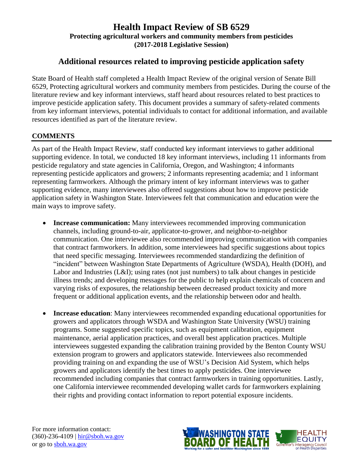# **Additional resources related to improving pesticide application safety**

State Board of Health staff completed a Health Impact Review of the original version of Senate Bill 6529, Protecting agricultural workers and community members from pesticides. During the course of the literature review and key informant interviews, staff heard about resources related to best practices to improve pesticide application safety. This document provides a summary of safety-related comments from key informant interviews, potential individuals to contact for additional information, and available resources identified as part of the literature review.

#### **COMMENTS**

As part of the Health Impact Review, staff conducted key informant interviews to gather additional supporting evidence. In total, we conducted 18 key informant interviews, including 11 informants from pesticide regulatory and state agencies in California, Oregon, and Washington; 4 informants representing pesticide applicators and growers; 2 informants representing academia; and 1 informant representing farmworkers. Although the primary intent of key informant interviews was to gather supporting evidence, many interviewees also offered suggestions about how to improve pesticide application safety in Washington State. Interviewees felt that communication and education were the main ways to improve safety.

- **Increase communication:** Many interviewees recommended improving communication channels, including ground-to-air, applicator-to-grower, and neighbor-to-neighbor communication. One interviewee also recommended improving communication with companies that contract farmworkers. In addition, some interviewees had specific suggestions about topics that need specific messaging. Interviewees recommended standardizing the definition of "incident" between Washington State Departments of Agriculture (WSDA), Health (DOH), and Labor and Industries (L&I); using rates (not just numbers) to talk about changes in pesticide illness trends; and developing messages for the public to help explain chemicals of concern and varying risks of exposures, the relationship between decreased product toxicity and more frequent or additional application events, and the relationship between odor and health.
- **Increase education**: Many interviewees recommended expanding educational opportunities for growers and applicators through WSDA and Washington State University (WSU) training programs. Some suggested specific topics, such as equipment calibration, equipment maintenance, aerial application practices, and overall best application practices. Multiple interviewees suggested expanding the calibration training provided by the Benton County WSU extension program to growers and applicators statewide. Interviewees also recommended providing training on and expanding the use of WSU's Decision Aid System, which helps growers and applicators identify the best times to apply pesticides. One interviewee recommended including companies that contract farmworkers in training opportunities. Lastly, one California interviewee recommended developing wallet cards for farmworkers explaining their rights and providing contact information to report potential exposure incidents.

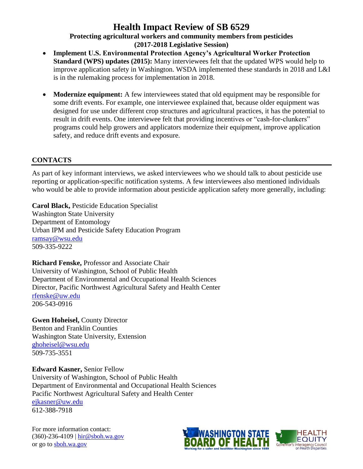- **Implement U.S. Environmental Protection Agency's Agricultural Worker Protection Standard (WPS) updates (2015):** Many interviewees felt that the updated WPS would help to improve application safety in Washington. WSDA implemented these standards in 2018 and L&I is in the rulemaking process for implementation in 2018.
- **Modernize equipment:** A few interviewees stated that old equipment may be responsible for some drift events. For example, one interviewee explained that, because older equipment was designed for use under different crop structures and agricultural practices, it has the potential to result in drift events. One interviewee felt that providing incentives or "cash-for-clunkers" programs could help growers and applicators modernize their equipment, improve application safety, and reduce drift events and exposure.

### **CONTACTS**

As part of key informant interviews, we asked interviewees who we should talk to about pesticide use reporting or application-specific notification systems. A few interviewees also mentioned individuals who would be able to provide information about pesticide application safety more generally, including:

**Carol Black,** Pesticide Education Specialist Washington State University Department of Entomology Urban IPM and Pesticide Safety Education Program [ramsay@wsu.edu](mailto:ramsay@wsu.edu) 509-335-9222

**Richard Fenske,** Professor and Associate Chair University of Washington, School of Public Health Department of Environmental and Occupational Health Sciences Director, Pacific Northwest Agricultural Safety and Health Center [rfenske@uw.edu](mailto:rfenske@uw.edu) 206-543-0916

**Gwen Hoheisel,** County Director Benton and Franklin Counties Washington State University, Extension [ghoheisel@wsu.edu](mailto:ghoheisel@wsu.edu) 509-735-3551

**Edward Kasner,** Senior Fellow University of Washington, School of Public Health Department of Environmental and Occupational Health Sciences Pacific Northwest Agricultural Safety and Health Center [ejkasner@uw.edu](mailto:ejkasner@uw.edu) 612-388-7918



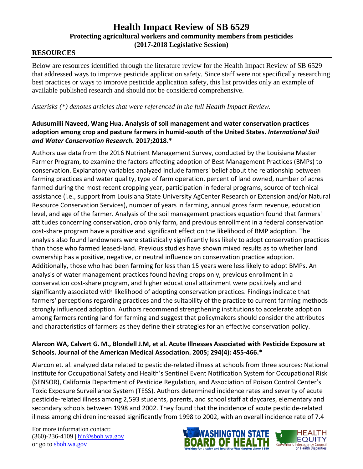#### **RESOURCES**

Below are resources identified through the literature review for the Health Impact Review of SB 6529 that addressed ways to improve pesticide application safety. Since staff were not specifically researching best practices or ways to improve pesticide application safety, this list provides only an example of available published research and should not be considered comprehensive.

*Asterisks (\*) denotes articles that were referenced in the full Health Impact Review.*

#### **Adusumilli Naveed, Wang Hua. Analysis of soil management and water conservation practices adoption among crop and pasture farmers in humid-south of the United States.** *International Soil and Water Conservation Research.* **2017;2018.\***

Authors use data from the 2016 Nutrient Management Survey, conducted by the Louisiana Master Farmer Program, to examine the factors affecting adoption of Best Management Practices (BMPs) to conservation. Explanatory variables analyzed include farmers' belief about the relationship between farming practices and water quality, type of farm operation, percent of land owned, number of acres farmed during the most recent cropping year, participation in federal programs, source of technical assistance (i.e., support from Louisiana State University AgCenter Research or Extension and/or Natural Resource Conservation Services), number of years in farming, annual gross farm revenue, education level, and age of the farmer. Analysis of the soil management practices equation found that farmers' attitudes concerning conservation, crop only farm, and previous enrollment in a federal conservation cost-share program have a positive and significant effect on the likelihood of BMP adoption. The analysis also found landowners were statistically significantly less likely to adopt conservation practices than those who farmed leased-land. Previous studies have shown mixed results as to whether land ownership has a positive, negative, or neutral influence on conservation practice adoption. Additionally, those who had been farming for less than 15 years were less likely to adopt BMPs. An analysis of water management practices found having crops only, previous enrollment in a conservation cost-share program, and higher educational attainment were positively and and significantly associated with likelihood of adopting conservation practices. Findings indicate that farmers' perceptions regarding practices and the suitability of the practice to current farming methods strongly influenced adoption. Authors recommend strengthening institutions to accelerate adoption among farmers renting land for farming and suggest that policymakers should consider the attributes and characteristics of farmers as they define their strategies for an effective conservation policy.

#### **Alarcon WA, Calvert G. M., Blondell J.M, et al. Acute Illnesses Associated with Pesticide Exposure at Schools. Journal of the American Medical Association. 2005; 294(4): 455-466.\***

Alarcon et. al. analyzed data related to pesticide-related illness at schools from three sources: National Institute for Occupational Safety and Health's Sentinel Event Notification System for Occupational Risk (SENSOR), California Department of Pesticide Regulation, and Association of Poison Control Center's Toxic Exposure Surveillance System (TESS). Authors determined incidence rates and severity of acute pesticide-related illness among 2,593 students, parents, and school staff at daycares, elementary and secondary schools between 1998 and 2002. They found that the incidence of acute pesticide-related illness among children increased significantly from 1998 to 2002, with an overall incidence rate of 7.4



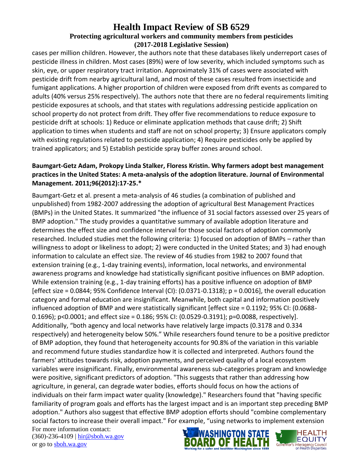cases per million children. However, the authors note that these databases likely underreport cases of pesticide illness in children. Most cases (89%) were of low severity, which included symptoms such as skin, eye, or upper respiratory tract irritation. Approximately 31% of cases were associated with pesticide drift from nearby agricultural land, and most of these cases resulted from insecticide and fumigant applications. A higher proportion of children were exposed from drift events as compared to adults (40% versus 25% respectively). The authors note that there are no federal requirements limiting pesticide exposures at schools, and that states with regulations addressing pesticide application on school property do not protect from drift. They offer five recommendations to reduce exposure to pesticide drift at schools: 1) Reduce or eliminate application methods that cause drift; 2) Shift application to times when students and staff are not on school property; 3) Ensure applicators comply with existing regulations related to pesticide application; 4) Require pesticides only be applied by trained applicators; and 5) Establish pesticide spray buffer zones around school.

### **Baumgart-Getz Adam, Prokopy Linda Stalker, Floress Kristin. Why farmers adopt best management practices in the United States: A meta-analysis of the adoption literature. Journal of Environmental Management. 2011;96(2012):17-25.\***

Baumgart-Getz et al. present a meta-analysis of 46 studies (a combination of published and unpublished) from 1982-2007 addressing the adoption of agricultural Best Management Practices (BMPs) in the United States. It summarized "the influence of 31 social factors assessed over 25 years of BMP adoption." The study provides a quantitative summary of available adoption literature and determines the effect size and confidence interval for those social factors of adoption commonly researched. Included studies met the following criteria: 1) focused on adoption of BMPs – rather than willingness to adopt or likeliness to adopt; 2) were conducted in the United States; and 3) had enough information to calculate an effect size. The review of 46 studies from 1982 to 2007 found that extension training (e.g., 1-day training events), information, local networks, and environmental awareness programs and knowledge had statistically significant positive influences on BMP adoption. While extension training (e.g., 1-day training efforts) has a positive influence on adoption of BMP [effect size = 0.0844; 95% Confidence Interval (CI):  $(0.0371-0.1318)$ ; p = 0.0016], the overall education category and formal education are insignificant. Meanwhile, both capital and information positively influenced adoption of BMP and were statistically significant [effect size = 0.1192; 95% CI: (0.0688- 0.1696); p<0.0001; and effect size = 0.186; 95% CI: (0.0529-0.3191); p=0.0088, respectively]. Additionally, "both agency and local networks have relatively large impacts (0.3178 and 0.334 respectively) and heterogeneity below 50%." While researchers found tenure to be a positive predictor of BMP adoption, they found that heterogeneity accounts for 90.8% of the variation in this variable and recommend future studies standardize how it is collected and interpreted. Authors found the farmers' attitudes towards risk, adoption payments, and perceived quality of a local ecosystem variables were insignificant. Finally, environmental awareness sub-categories program and knowledge were positive, significant predictors of adoption. "This suggests that rather than addressing how agriculture, in general, can degrade water bodies, efforts should focus on how the actions of individuals on their farm impact water quality (knowledge)." Researchers found that "having specific familiarity of program goals and efforts has the largest impact and is an important step preceding BMP adoption." Authors also suggest that effective BMP adoption efforts should "combine complementary social factors to increase their overall impact." For example, "using networks to implement extension



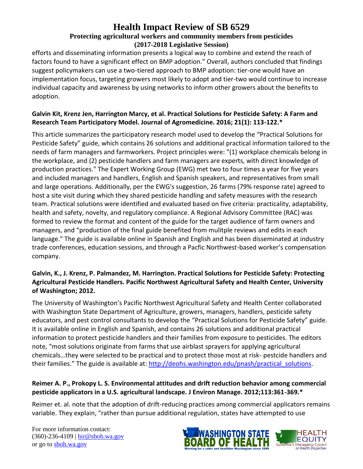efforts and disseminating information presents a logical way to combine and extend the reach of factors found to have a significant effect on BMP adoption." Overall, authors concluded that findings suggest policymakers can use a two-tiered approach to BMP adoption: tier-one would have an implementation focus, targeting growers most likely to adopt and tier-two would continue to increase individual capacity and awareness by using networks to inform other growers about the benefits to adoption.

### **Galvin Kit, Krenz Jen, Harrington Marcy, et al. Practical Solutions for Pesticide Safety: A Farm and Research Team Participatory Model. Journal of Agromedicine. 2016; 21(1): 113-122.\***

This article summarizes the participatory research model used to develop the "Practical Solutions for Pesticide Safety" guide, which contains 26 solutions and additional practical information tailored to the needs of farm managers and farmworkers. Project principles were: "(1) workplace chemicals belong in the workplace, and (2) pesticide handlers and farm managers are experts, with direct knowledge of production practices." The Expert Working Group (EWG) met two to four times a year for five years and included managers and handlers, English and Spanish speakers, and representatives from small and large operations. Additionally, per the EWG's suggestion, 26 farms (79% response rate) agreed to host a site visit during which they shared pesticide handling and safety measures with the research team. Practical solutions were identified and evaluated based on five criteria: practicality, adaptability, health and safety, novelty, and regulatory compliance. A Regional Advisory Committee (RAC) was formed to review the format and content of the guide for the target audience of farm owners and managers, and "production of the final guide benefited from mulitple reviews and edits in each language." The guide is available online in Spanish and English and has been disseminated at industry trade conferences, education sessions, and through a Pacfic Northwest-based worker's compensation company.

### **Galvin, K., J. Krenz, P. Palmandez, M. Harrington. Practical Solutions for Pesticide Safety: Protecting Agricultural Pesticide Handlers. Pacific Northwest Agricultural Safety and Health Center, University of Washington; 2012.**

The University of Washington's Pacific Northwest Agricultural Safety and Health Center collaborated with Washington State Department of Agriculture, growers, managers, handlers, pesticide safety educators, and pest control consultants to develop the "Practical Solutions for Pesticide Safety" guide. It is available online in English and Spanish, and contains 26 solutions and additional practical information to protect pesticide handlers and their families from exposure to pesticides. The editors note, "most solutions originate from farms that use airblast sprayers for applying agricultural chemicals…they were selected to be practical and to protect those most at risk- pestcide handlers and their families." The guide is available at: http://deohs.washington.edu/pnash/practical solutions.

#### **Reimer A. P., Prokopy L. S. Environmental attitudes and drift reduction behavior among commercial pesticide applicators in a U.S. agricultural landscape. J Environ Manage. 2012;113:361-369.\***

Reimer et. al. note that the adoption of drift-reducing practices among commercial applicators remains variable. They explain, "rather than pursue additional regulation, states have attempted to use

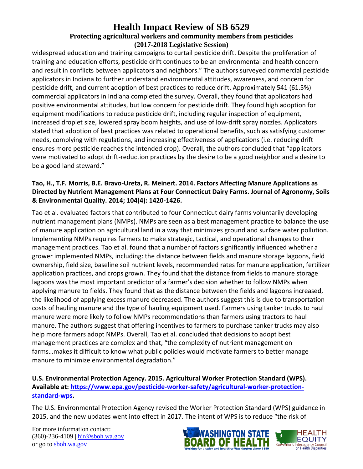widespread education and training campaigns to curtail pesticide drift. Despite the proliferation of training and education efforts, pesticide drift continues to be an environmental and health concern and result in conflicts between applicators and neighbors." The authors surveyed commercial pesticide applicators in Indiana to further understand environmental attitudes, awareness, and concern for pesticide drift, and current adoption of best practices to reduce drift. Approximately 541 (61.5%) commercial applicators in Indiana completed the survey. Overall, they found that applicators had positive environmental attitudes, but low concern for pesticide drift. They found high adoption for equipment modifications to reduce pesticide drift, including regular inspection of equipment, increased droplet size, lowered spray boom heights, and use of low-drift spray nozzles. Applicators stated that adoption of best practices was related to operational benefits, such as satisfying customer needs, complying with regulations, and increasing effectiveness of applications (i.e. reducing drift ensures more pesticide reaches the intended crop). Overall, the authors concluded that "applicators were motivated to adopt drift-reduction practices by the desire to be a good neighbor and a desire to be a good land steward."

#### **Tao, H., T.F. Morris, B.E. Bravo-Ureta, R. Meinert. 2014. Factors Affecting Manure Applications as Directed by Nutrient Management Plans at Four Connecticut Dairy Farms. Journal of Agronomy, Soils & Environmental Quality. 2014; 104(4): 1420-1426.**

Tao et al. evaluated factors that contributed to four Connecticut dairy farms voluntarily developing nutrient management plans (NMPs). NMPs are seen as a best management practice to balance the use of manure application on agricultural land in a way that minimizes ground and surface water pollution. Implementing NMPs requires farmers to make strategic, tactical, and operational changes to their management practices. Tao et al. found that a number of factors significantly influenced whether a grower implemented NMPs, including: the distance between fields and manure storage lagoons, field ownership, field size, baseline soil nutrient levels, recommended rates for manure application, fertilizer application practices, and crops grown. They found that the distance from fields to manure storage lagoons was the most important predictor of a farmer's decision whether to follow NMPs when applying manure to fields. They found that as the distance between the fields and lagoons increased, the likelihood of applying excess manure decreased. The authors suggest this is due to transportation costs of hauling manure and the type of hauling equipment used. Farmers using tanker trucks to haul manure were more likely to follow NMPs recommendations than farmers using tractors to haul manure. The authors suggest that offering incentives to farmers to purchase tanker trucks may also help more farmers adopt NMPs. Overall, Tao et al. concluded that decisions to adopt best management practices are complex and that, "the complexity of nutrient management on farms…makes it difficult to know what public policies would motivate farmers to better manage manure to minimize environmental degradation."

### **U.S. Environmental Protection Agency. 2015. Agricultural Worker Protection Standard (WPS). Available at: [https://www.epa.gov/pesticide-worker-safety/agricultural-worker-protection](https://www.epa.gov/pesticide-worker-safety/agricultural-worker-protection-standard-wps)[standard-wps.](https://www.epa.gov/pesticide-worker-safety/agricultural-worker-protection-standard-wps)**

The U.S. Environmental Protection Agency revised the Worker Protection Standard (WPS) guidance in 2015, and the new updates went into effect in 2017. The intent of WPS is to reduce "the risk of